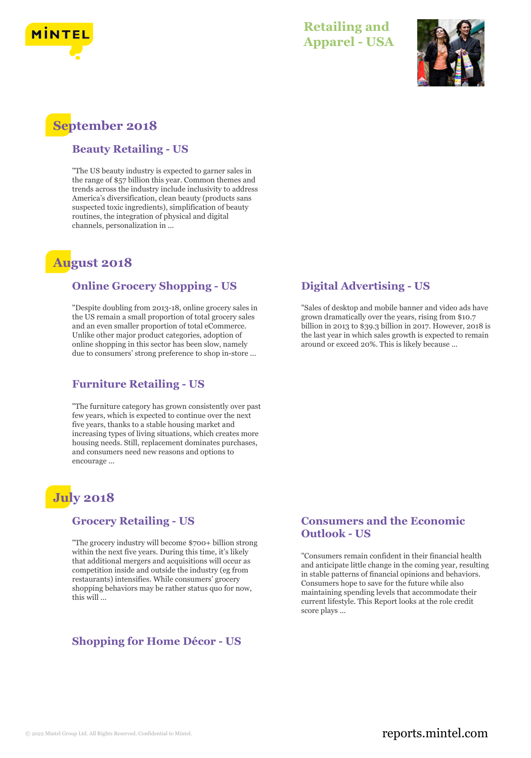

# **Retailing and Apparel - USA**



# **September 2018**

#### **Beauty Retailing - US**

"The US beauty industry is expected to garner sales in the range of \$57 billion this year. Common themes and trends across the industry include inclusivity to address America's diversification, clean beauty (products sans suspected toxic ingredients), simplification of beauty routines, the integration of physical and digital channels, personalization in ...

# **August 2018**

#### **Online Grocery Shopping - US**

"Despite doubling from 2013-18, online grocery sales in the US remain a small proportion of total grocery sales and an even smaller proportion of total eCommerce. Unlike other major product categories, adoption of online shopping in this sector has been slow, namely due to consumers' strong preference to shop in-store ...

#### **Furniture Retailing - US**

"The furniture category has grown consistently over past few years, which is expected to continue over the next five years, thanks to a stable housing market and increasing types of living situations, which creates more housing needs. Still, replacement dominates purchases, and consumers need new reasons and options to encourage ...

# **July 2018**

#### **Grocery Retailing - US**

"The grocery industry will become \$700+ billion strong within the next five years. During this time, it's likely that additional mergers and acquisitions will occur as competition inside and outside the industry (eg from restaurants) intensifies. While consumers' grocery shopping behaviors may be rather status quo for now, this will ...

## **Shopping for Home Décor - US**

### **Digital Advertising - US**

"Sales of desktop and mobile banner and video ads have grown dramatically over the years, rising from \$10.7 billion in 2013 to \$39.3 billion in 2017. However, 2018 is the last year in which sales growth is expected to remain around or exceed 20%. This is likely because ...

#### **Consumers and the Economic Outlook - US**

"Consumers remain confident in their financial health and anticipate little change in the coming year, resulting in stable patterns of financial opinions and behaviors. Consumers hope to save for the future while also maintaining spending levels that accommodate their current lifestyle. This Report looks at the role credit score plays ...